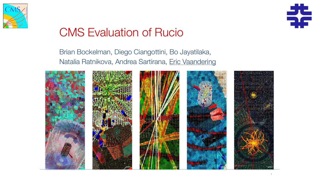

# CMS Evaluation of Rucio

### Brian Bockelman, Diego Ciangottini, Bo Jayatilaka, Natalia Ratnikova, Andrea Sartirana, Eric Vaandering











1

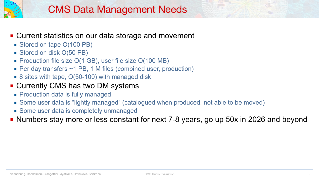



#### ■ Current statistics on our data storage and movement

- Stored on tape O(100 PB)
- Stored on disk O(50 PB)
- Production file size O(1 GB), user file size O(100 MB)
- Per day transfers ~1 PB, 1 M files (combined user, production)
- 8 sites with tape, O(50-100) with managed disk

#### ■ Currently CMS has two DM systems

- **Production data is fully managed**
- Some user data is "lightly managed" (catalogued when produced, not able to be moved)
- Some user data is completely unmanaged
- Numbers stay more or less constant for next 7-8 years, go up 50x in 2026 and beyond

- 
- 

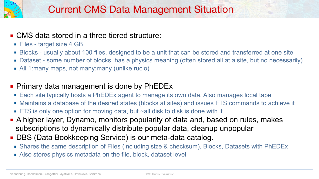



## ■ CMS data stored in a three tiered structure:

- Files target size 4 GB
- 
- 
- All 1:many maps, not many:many (unlike rucio)

### **• Primary data management is done by PhEDEx**

- Each site typically hosts a PhEDEx agent to manage its own data. Also manages local tape
- Maintains a database of the desired states (blocks at sites) and issues FTS commands to achieve it
- FTS is only one option for moving data, but ~all disk to disk is done with it
- A higher layer, Dynamo, monitors popularity of data and, based on rules, makes subscriptions to dynamically distribute popular data, cleanup unpopular
- DBS (Data Bookkeeping Service) is our meta-data catalog.
	-
	- Shares the same description of Files (including size & checksum), Blocks, Datasets with PhEDEx ■ Also stores physics metadata on the file, block, dataset level

■ Blocks - usually about 100 files, designed to be a unit that can be stored and transferred at one site ■ Dataset - some number of blocks, has a physics meaning (often stored all at a site, but no necessarily)

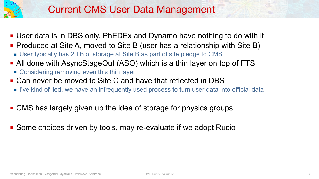



## Current CMS User Data Management

- User data is in DBS only, PhEDEx and Dynamo have nothing to do with it
- Produced at Site A, moved to Site B (user has a relationship with Site B)
	- User typically has 2 TB of storage at Site B as part of site pledge to CMS
- All done with AsyncStageOut (ASO) which is a thin layer on top of FTS
	- Considering removing even this thin layer
- Can never be moved to Site C and have that reflected in DBS
	- I've kind of lied, we have an infrequently used process to turn user data into official data
- CMS has largely given up the idea of storage for physics groups
- Some choices driven by tools, may re-evaluate if we adopt Rucio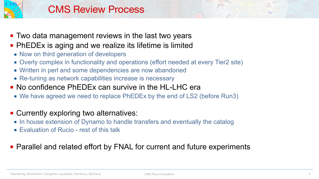



## CMS Review Process

- Two data management reviews in the last two years ■ PhEDEx is aging and we realize its lifetime is limited
	- Now on third generation of developers
	-
	-
	-
- Overly complex in functionality and operations (effort needed at every Tier2 site) ■ Written in perl and some dependencies are now abandoned ■ Re-tuning as network capabilities increase is necessary ■ No confidence PhEDEx can survive in the HL-LHC era
	- We have agreed we need to replace PhEDEx by the end of LS2 (before Run3)
- Currently exploring two alternatives:
	- In house extension of Dynamo to handle transfers and eventually the catalog
	- Evaluation of Rucio rest of this talk

### ■ Parallel and related effort by FNAL for current and future experiments

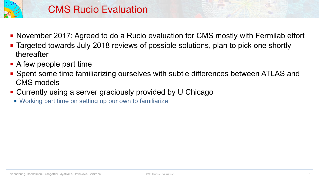- 
- thereafter
- A few people part time
- CMS models
- Currently using a server graciously provided by U Chicago
	- Working part time on setting up our own to familiarize



■ Spent some time familiarizing ourselves with subtle differences between ATLAS and





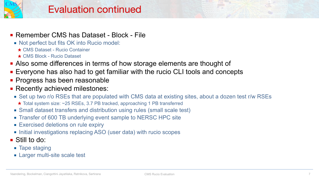



#### ■ Remember CMS has Dataset - Block - File

- Not perfect but fits OK into Rucio model:
	- ★ CMS Dataset Rucio Container
	- ★ CMS Block Rucio Dataset
- Also some differences in terms of how storage elements are thought of
- Everyone has also had to get familiar with the rucio CLI tools and concepts
- **Progress has been reasonable**
- **Execently achieved milestones:** 
	- Set up two r/o RSEs that are populated with CMS data at existing sites, about a dozen test r/w RSEs ★ Total system size: ~25 RSEs, 3.7 PB tracked, approaching 1 PB transferred
	- Small dataset transfers and distribution using rules (small scale test)
	- Transfer of 600 TB underlying event sample to NERSC HPC site
	- **Exercised deletions on rule expiry**
	- Initial investigations replacing ASO (user data) with rucio scopes
- Still to do:
	- Tape staging
	- **Example 1 Larger multi-site scale test**

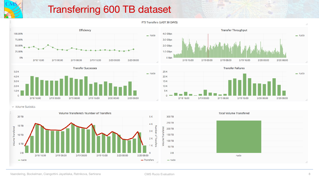#### FTS Transfers (LAST 30 DAYS)





## Transferring 600 TB dataset





v Volume Statistics

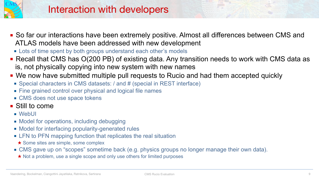- WebUI
- Model for operations, including debugging
- Model for interfacing popularity-generated rules
- LFN to PFN mapping function that replicates the real situation ★ Some sites are simple, some complex
- CMS gave up on "scopes" sometime back (e.g. physics groups no longer manage their own data). ★ Not a problem, use a single scope and only use others for limited purposes









## Interaction with developers

- So far our interactions have been extremely positive. Almost all differences between CMS and ATLAS models have been addressed with new development
	- Lots of time spent by both groups understand each other's models
- Recall that CMS has O(200 PB) of existing data. Any transition needs to work with CMS data as is, not physically copying into new system with new names
- We now have submitted multiple pull requests to Rucio and had them accepted quickly
	- Special characters in CMS datasets: / and # (special in REST interface)
	- Fine grained control over physical and logical file names
	- CMS does not use space tokens

#### ■ Still to come